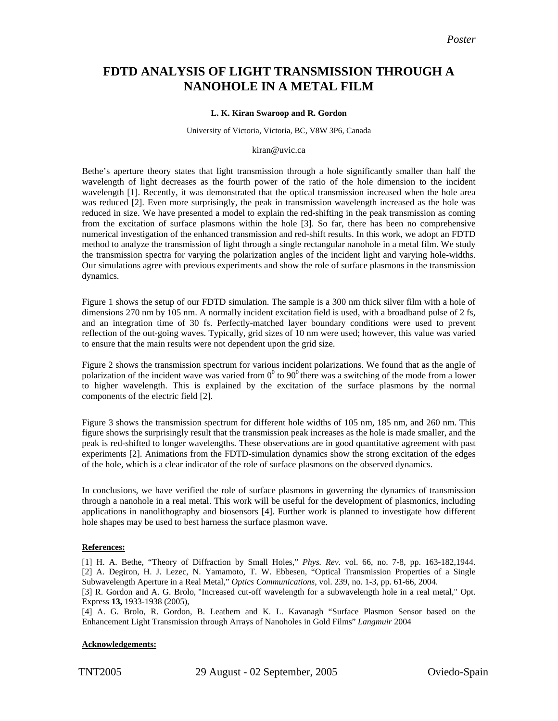# **FDTD ANALYSIS OF LIGHT TRANSMISSION THROUGH A NANOHOLE IN A METAL FILM**

# **L. K. Kiran Swaroop and R. Gordon**

#### University of Victoria, Victoria, BC, V8W 3P6, Canada

#### kiran@uvic.ca

Bethe's aperture theory states that light transmission through a hole significantly smaller than half the wavelength of light decreases as the fourth power of the ratio of the hole dimension to the incident wavelength [1]. Recently, it was demonstrated that the optical transmission increased when the hole area was reduced [2]. Even more surprisingly, the peak in transmission wavelength increased as the hole was reduced in size. We have presented a model to explain the red-shifting in the peak transmission as coming from the excitation of surface plasmons within the hole [3]. So far, there has been no comprehensive numerical investigation of the enhanced transmission and red-shift results. In this work, we adopt an FDTD method to analyze the transmission of light through a single rectangular nanohole in a metal film. We study the transmission spectra for varying the polarization angles of the incident light and varying hole-widths. Our simulations agree with previous experiments and show the role of surface plasmons in the transmission dynamics.

Figure 1 shows the setup of our FDTD simulation. The sample is a 300 nm thick silver film with a hole of dimensions 270 nm by 105 nm. A normally incident excitation field is used, with a broadband pulse of 2 fs, and an integration time of 30 fs. Perfectly-matched layer boundary conditions were used to prevent reflection of the out-going waves. Typically, grid sizes of 10 nm were used; however, this value was varied to ensure that the main results were not dependent upon the grid size.

Figure 2 shows the transmission spectrum for various incident polarizations. We found that as the angle of polarization of the incident wave was varied from  $0^0$  to  $90^0$  there was a switching of the mode from a lower to higher wavelength. This is explained by the excitation of the surface plasmons by the normal components of the electric field [2].

Figure 3 shows the transmission spectrum for different hole widths of 105 nm, 185 nm, and 260 nm. This figure shows the surprisingly result that the transmission peak increases as the hole is made smaller, and the peak is red-shifted to longer wavelengths. These observations are in good quantitative agreement with past experiments [2]. Animations from the FDTD-simulation dynamics show the strong excitation of the edges of the hole, which is a clear indicator of the role of surface plasmons on the observed dynamics.

In conclusions, we have verified the role of surface plasmons in governing the dynamics of transmission through a nanohole in a real metal. This work will be useful for the development of plasmonics, including applications in nanolithography and biosensors [4]. Further work is planned to investigate how different hole shapes may be used to best harness the surface plasmon wave.

## **References:**

[1] H. A. Bethe, "Theory of Diffraction by Small Holes," *Phys. Rev*. vol. 66, no. 7-8, pp. 163-182,1944. [2] A. Degiron, H. J. Lezec, N. Yamamoto, T. W. Ebbesen, "Optical Transmission Properties of a Single Subwavelength Aperture in a Real Metal," *Optics Communications*, vol. 239, no. 1-3, pp. 61-66, 2004.

[3] R. Gordon and A. G. Brolo, "Increased cut-off wavelength for a subwavelength hole in a real metal," Opt. Express **13,** 1933-1938 (2005),

[4] A. G. Brolo, R. Gordon, B. Leathem and K. L. Kavanagh "Surface Plasmon Sensor based on the Enhancement Light Transmission through Arrays of Nanoholes in Gold Films" *Langmuir* 2004

## **Acknowledgements:**